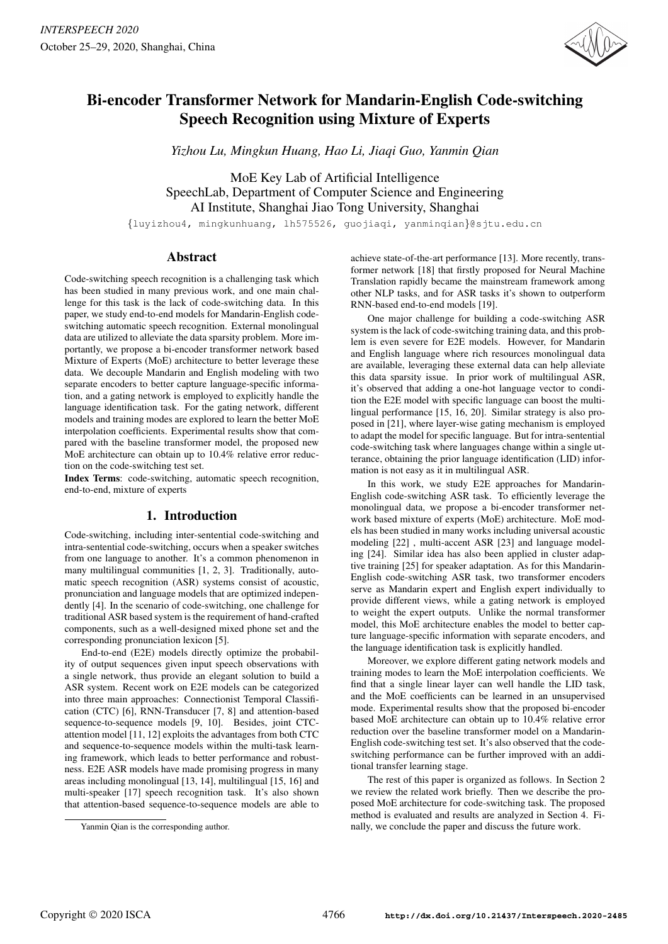

# Bi-encoder Transformer Network for Mandarin-English Code-switching Speech Recognition using Mixture of Experts

*Yizhou Lu, Mingkun Huang, Hao Li, Jiaqi Guo, Yanmin Qian*

MoE Key Lab of Artificial Intelligence SpeechLab, Department of Computer Science and Engineering AI Institute, Shanghai Jiao Tong University, Shanghai

{luyizhou4, mingkunhuang, lh575526, guojiaqi, yanminqian}@sjtu.edu.cn

# Abstract

Code-switching speech recognition is a challenging task which has been studied in many previous work, and one main challenge for this task is the lack of code-switching data. In this paper, we study end-to-end models for Mandarin-English codeswitching automatic speech recognition. External monolingual data are utilized to alleviate the data sparsity problem. More importantly, we propose a bi-encoder transformer network based Mixture of Experts (MoE) architecture to better leverage these data. We decouple Mandarin and English modeling with two separate encoders to better capture language-specific information, and a gating network is employed to explicitly handle the language identification task. For the gating network, different models and training modes are explored to learn the better MoE interpolation coefficients. Experimental results show that compared with the baseline transformer model, the proposed new MoE architecture can obtain up to 10.4% relative error reduction on the code-switching test set.

Index Terms: code-switching, automatic speech recognition, end-to-end, mixture of experts

# 1. Introduction

Code-switching, including inter-sentential code-switching and intra-sentential code-switching, occurs when a speaker switches from one language to another. It's a common phenomenon in many multilingual communities [1, 2, 3]. Traditionally, automatic speech recognition (ASR) systems consist of acoustic, pronunciation and language models that are optimized independently [4]. In the scenario of code-switching, one challenge for traditional ASR based system is the requirement of hand-crafted components, such as a well-designed mixed phone set and the corresponding pronunciation lexicon [5].

End-to-end (E2E) models directly optimize the probability of output sequences given input speech observations with a single network, thus provide an elegant solution to build a ASR system. Recent work on E2E models can be categorized into three main approaches: Connectionist Temporal Classification (CTC) [6], RNN-Transducer [7, 8] and attention-based sequence-to-sequence models [9, 10]. Besides, joint CTCattention model [11, 12] exploits the advantages from both CTC and sequence-to-sequence models within the multi-task learning framework, which leads to better performance and robustness. E2E ASR models have made promising progress in many areas including monolingual [13, 14], multilingual [15, 16] and multi-speaker [17] speech recognition task. It's also shown that attention-based sequence-to-sequence models are able to achieve state-of-the-art performance [13]. More recently, transformer network [18] that firstly proposed for Neural Machine Translation rapidly became the mainstream framework among other NLP tasks, and for ASR tasks it's shown to outperform RNN-based end-to-end models [19].

One major challenge for building a code-switching ASR system is the lack of code-switching training data, and this problem is even severe for E2E models. However, for Mandarin and English language where rich resources monolingual data are available, leveraging these external data can help alleviate this data sparsity issue. In prior work of multilingual ASR, it's observed that adding a one-hot language vector to condition the E2E model with specific language can boost the multilingual performance [15, 16, 20]. Similar strategy is also proposed in [21], where layer-wise gating mechanism is employed to adapt the model for specific language. But for intra-sentential code-switching task where languages change within a single utterance, obtaining the prior language identification (LID) information is not easy as it in multilingual ASR.

In this work, we study E2E approaches for Mandarin-English code-switching ASR task. To efficiently leverage the monolingual data, we propose a bi-encoder transformer network based mixture of experts (MoE) architecture. MoE models has been studied in many works including universal acoustic modeling [22] , multi-accent ASR [23] and language modeling [24]. Similar idea has also been applied in cluster adaptive training [25] for speaker adaptation. As for this Mandarin-English code-switching ASR task, two transformer encoders serve as Mandarin expert and English expert individually to provide different views, while a gating network is employed to weight the expert outputs. Unlike the normal transformer model, this MoE architecture enables the model to better capture language-specific information with separate encoders, and the language identification task is explicitly handled.

Moreover, we explore different gating network models and training modes to learn the MoE interpolation coefficients. We find that a single linear layer can well handle the LID task, and the MoE coefficients can be learned in an unsupervised mode. Experimental results show that the proposed bi-encoder based MoE architecture can obtain up to 10.4% relative error reduction over the baseline transformer model on a Mandarin-English code-switching test set. It's also observed that the codeswitching performance can be further improved with an additional transfer learning stage.

The rest of this paper is organized as follows. In Section 2 we review the related work briefly. Then we describe the proposed MoE architecture for code-switching task. The proposed method is evaluated and results are analyzed in Section 4. Finally, we conclude the paper and discuss the future work.

Yanmin Qian is the corresponding author.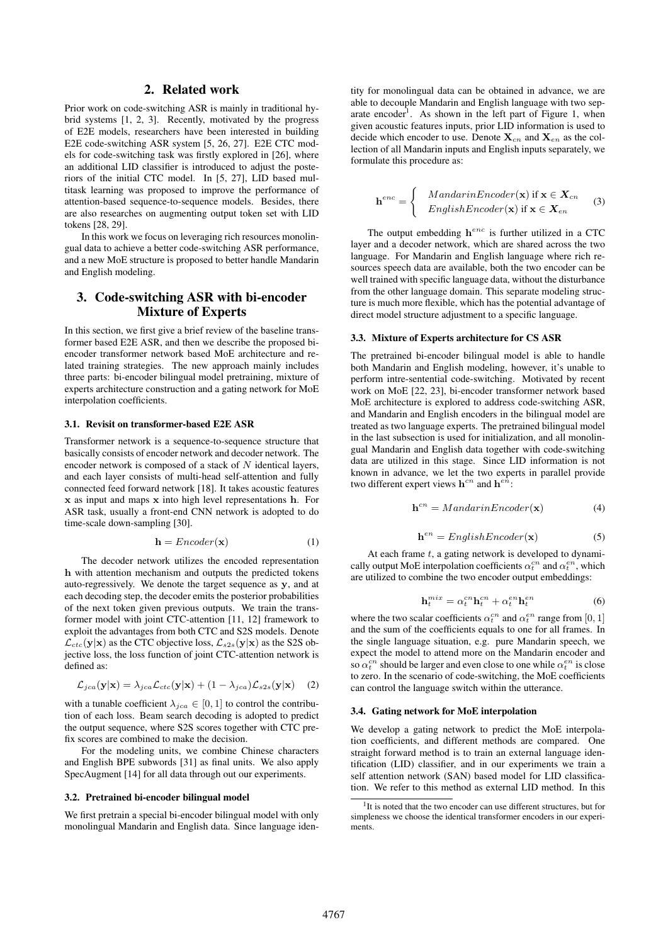## 2. Related work

Prior work on code-switching ASR is mainly in traditional hybrid systems [1, 2, 3]. Recently, motivated by the progress of E2E models, researchers have been interested in building E2E code-switching ASR system [5, 26, 27]. E2E CTC models for code-switching task was firstly explored in [26], where an additional LID classifier is introduced to adjust the posteriors of the initial CTC model. In [5, 27], LID based multitask learning was proposed to improve the performance of attention-based sequence-to-sequence models. Besides, there are also researches on augmenting output token set with LID tokens [28, 29].

In this work we focus on leveraging rich resources monolingual data to achieve a better code-switching ASR performance, and a new MoE structure is proposed to better handle Mandarin and English modeling.

# 3. Code-switching ASR with bi-encoder Mixture of Experts

In this section, we first give a brief review of the baseline transformer based E2E ASR, and then we describe the proposed biencoder transformer network based MoE architecture and related training strategies. The new approach mainly includes three parts: bi-encoder bilingual model pretraining, mixture of experts architecture construction and a gating network for MoE interpolation coefficients.

#### 3.1. Revisit on transformer-based E2E ASR

Transformer network is a sequence-to-sequence structure that basically consists of encoder network and decoder network. The encoder network is composed of a stack of  $N$  identical layers, and each layer consists of multi-head self-attention and fully connected feed forward network [18]. It takes acoustic features x as input and maps x into high level representations h. For ASR task, usually a front-end CNN network is adopted to do time-scale down-sampling [30].

$$
\mathbf{h} =Encoder(\mathbf{x})\tag{1}
$$

The decoder network utilizes the encoded representation h with attention mechanism and outputs the predicted tokens auto-regressively. We denote the target sequence as y, and at each decoding step, the decoder emits the posterior probabilities of the next token given previous outputs. We train the transformer model with joint CTC-attention [11, 12] framework to exploit the advantages from both CTC and S2S models. Denote  $\mathcal{L}_{ctc}(\mathbf{y}|\mathbf{x})$  as the CTC objective loss,  $\mathcal{L}_{s2s}(\mathbf{y}|\mathbf{x})$  as the S2S objective loss, the loss function of joint CTC-attention network is defined as:

$$
\mathcal{L}_{jca}(\mathbf{y}|\mathbf{x}) = \lambda_{jca} \mathcal{L}_{ctc}(\mathbf{y}|\mathbf{x}) + (1 - \lambda_{jca}) \mathcal{L}_{s2s}(\mathbf{y}|\mathbf{x}) \quad (2)
$$

with a tunable coefficient  $\lambda_{ica} \in [0,1]$  to control the contribution of each loss. Beam search decoding is adopted to predict the output sequence, where S2S scores together with CTC prefix scores are combined to make the decision.

For the modeling units, we combine Chinese characters and English BPE subwords [31] as final units. We also apply SpecAugment [14] for all data through out our experiments.

#### 3.2. Pretrained bi-encoder bilingual model

We first pretrain a special bi-encoder bilingual model with only monolingual Mandarin and English data. Since language iden-

tity for monolingual data can be obtained in advance, we are able to decouple Mandarin and English language with two separate encoder<sup>1</sup>. As shown in the left part of Figure 1, when given acoustic features inputs, prior LID information is used to decide which encoder to use. Denote  $X_{cn}$  and  $X_{en}$  as the collection of all Mandarin inputs and English inputs separately, we formulate this procedure as:

$$
\mathbf{h}^{enc} = \begin{cases} \quad \text{M} and \text{arinEncoder}(\mathbf{x}) \text{ if } \mathbf{x} \in \mathbf{X}_{cn} \\ \quad \text{EnglishEncoder}(\mathbf{x}) \text{ if } \mathbf{x} \in \mathbf{X}_{en} \end{cases} \tag{3}
$$

The output embedding  $h^{enc}$  is further utilized in a CTC layer and a decoder network, which are shared across the two language. For Mandarin and English language where rich resources speech data are available, both the two encoder can be well trained with specific language data, without the disturbance from the other language domain. This separate modeling structure is much more flexible, which has the potential advantage of direct model structure adjustment to a specific language.

#### 3.3. Mixture of Experts architecture for CS ASR

The pretrained bi-encoder bilingual model is able to handle both Mandarin and English modeling, however, it's unable to perform intre-sentential code-switching. Motivated by recent work on MoE [22, 23], bi-encoder transformer network based MoE architecture is explored to address code-switching ASR, and Mandarin and English encoders in the bilingual model are treated as two language experts. The pretrained bilingual model in the last subsection is used for initialization, and all monolingual Mandarin and English data together with code-switching data are utilized in this stage. Since LID information is not known in advance, we let the two experts in parallel provide two different expert views  $h^{cn}$  and  $h^{en}$ :

$$
\mathbf{h}^{cn} = MandarinEncoder(\mathbf{x})\tag{4}
$$

$$
\mathbf{h}^{en} = EnglishEncoder(\mathbf{x})\tag{5}
$$

At each frame  $t$ , a gating network is developed to dynamically output MoE interpolation coefficients  $\alpha_t^{cn}$  and  $\alpha_t^{en}$ , which are utilized to combine the two encoder output embeddings:

$$
\mathbf{h}_t^{mix} = \alpha_t^{cn} \mathbf{h}_t^{cn} + \alpha_t^{en} \mathbf{h}_t^{en}
$$
 (6)

where the two scalar coefficients  $\alpha_t^{cn}$  and  $\alpha_t^{en}$  range from [0, 1] and the sum of the coefficients equals to one for all frames. In the single language situation, e.g. pure Mandarin speech, we expect the model to attend more on the Mandarin encoder and so  $\alpha_t^{cn}$  should be larger and even close to one while  $\alpha_t^{en}$  is close to zero. In the scenario of code-switching, the MoE coefficients can control the language switch within the utterance.

#### 3.4. Gating network for MoE interpolation

We develop a gating network to predict the MoE interpolation coefficients, and different methods are compared. One straight forward method is to train an external language identification (LID) classifier, and in our experiments we train a self attention network (SAN) based model for LID classification. We refer to this method as external LID method. In this

<sup>&</sup>lt;sup>1</sup>It is noted that the two encoder can use different structures, but for simpleness we choose the identical transformer encoders in our experiments.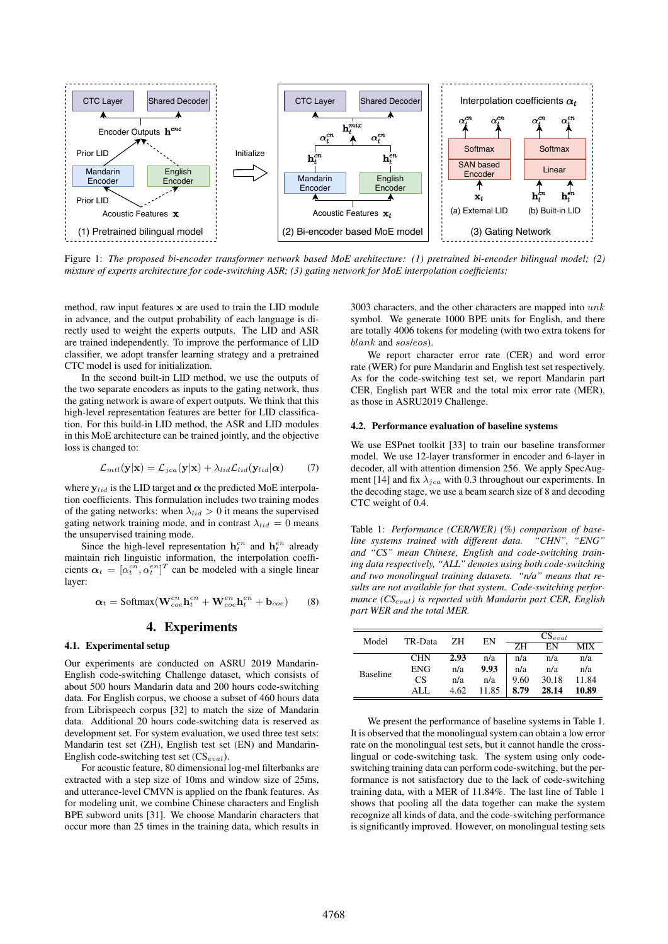

Figure 1: *The proposed bi-encoder transformer network based MoE architecture: (1) pretrained bi-encoder bilingual model; (2) mixture of experts architecture for code-switching ASR; (3) gating network for MoE interpolation coefficients;*

method, raw input features x are used to train the LID module in advance, and the output probability of each language is directly used to weight the experts outputs. The LID and ASR are trained independently. To improve the performance of LID classifier, we adopt transfer learning strategy and a pretrained CTC model is used for initialization.

In the second built-in LID method, we use the outputs of the two separate encoders as inputs to the gating network, thus the gating network is aware of expert outputs. We think that this high-level representation features are better for LID classification. For this build-in LID method, the ASR and LID modules in this MoE architecture can be trained jointly, and the objective loss is changed to:

$$
\mathcal{L}_{mtl}(\mathbf{y}|\mathbf{x}) = \mathcal{L}_{jca}(\mathbf{y}|\mathbf{x}) + \lambda_{lid}\mathcal{L}_{lid}(\mathbf{y}_{lid}|\boldsymbol{\alpha}) \tag{7}
$$

where  $y_{lid}$  is the LID target and  $\alpha$  the predicted MoE interpolation coefficients. This formulation includes two training modes of the gating networks: when  $\lambda_{lid} > 0$  it means the supervised gating network training mode, and in contrast  $\lambda_{lid} = 0$  means the unsupervised training mode.

Since the high-level representation  $\mathbf{h}_t^{cn}$  and  $\mathbf{h}_t^{en}$  already maintain rich linguistic information, the interpolation coefficients  $\alpha_t = [\alpha_t^{cn}, \alpha_t^{en}]^T$  can be modeled with a single linear layer:

$$
\alpha_t = \text{Softmax}(\mathbf{W}_{\text{co}}^{cn}\mathbf{h}_t^{cn} + \mathbf{W}_{\text{co}}^{en}\mathbf{h}_t^{en} + \mathbf{b}_{\text{coe}}) \tag{8}
$$

## 4. Experiments

## 4.1. Experimental setup

Our experiments are conducted on ASRU 2019 Mandarin-English code-switching Challenge dataset, which consists of about 500 hours Mandarin data and 200 hours code-switching data. For English corpus, we choose a subset of 460 hours data from Librispeech corpus [32] to match the size of Mandarin data. Additional 20 hours code-switching data is reserved as development set. For system evaluation, we used three test sets: Mandarin test set (ZH), English test set (EN) and Mandarin-English code-switching test set  $(CS_{eval})$ .

For acoustic feature, 80 dimensional log-mel filterbanks are extracted with a step size of 10ms and window size of 25ms, and utterance-level CMVN is applied on the fbank features. As for modeling unit, we combine Chinese characters and English BPE subword units [31]. We choose Mandarin characters that occur more than 25 times in the training data, which results in

3003 characters, and the other characters are mapped into  $unk$ symbol. We generate 1000 BPE units for English, and there are totally 4006 tokens for modeling (with two extra tokens for blank and sos/eos).

We report character error rate (CER) and word error rate (WER) for pure Mandarin and English test set respectively. As for the code-switching test set, we report Mandarin part CER, English part WER and the total mix error rate (MER), as those in ASRU2019 Challenge.

#### 4.2. Performance evaluation of baseline systems

We use ESPnet toolkit [33] to train our baseline transformer model. We use 12-layer transformer in encoder and 6-layer in decoder, all with attention dimension 256. We apply SpecAugment [14] and fix  $\lambda_{jca}$  with 0.3 throughout our experiments. In the decoding stage, we use a beam search size of 8 and decoding CTC weight of 0.4.

Table 1: *Performance (CER/WER) (%) comparison of baseline systems trained with different data. "CHN", "ENG" and "CS" mean Chinese, English and code-switching training data respectively, "ALL" denotes using both code-switching and two monolingual training datasets. "n/a" means that results are not available for that system. Code-switching performance (CS*eval*) is reported with Mandarin part CER, English part WER and the total MER.*

| Model           | TR-Data    | ΖH   | EN    | $CS_{eval}$ |       |       |
|-----------------|------------|------|-------|-------------|-------|-------|
|                 |            |      |       | <b>ZH</b>   | EN    | МIХ   |
| <b>Baseline</b> | <b>CHN</b> | 2.93 | n/a   | n/a         | n/a   | n/a   |
|                 | <b>ENG</b> | n/a  | 9.93  | n/a         | n/a   | n/a   |
|                 | CS         | n/a  | n/a   | 9.60        | 30.18 | 11.84 |
|                 | AL J       | 4.62 | 11.85 | 8.79        | 28.14 | 10.89 |

We present the performance of baseline systems in Table 1. It is observed that the monolingual system can obtain a low error rate on the monolingual test sets, but it cannot handle the crosslingual or code-switching task. The system using only codeswitching training data can perform code-switching, but the performance is not satisfactory due to the lack of code-switching training data, with a MER of 11.84%. The last line of Table 1 shows that pooling all the data together can make the system recognize all kinds of data, and the code-switching performance is significantly improved. However, on monolingual testing sets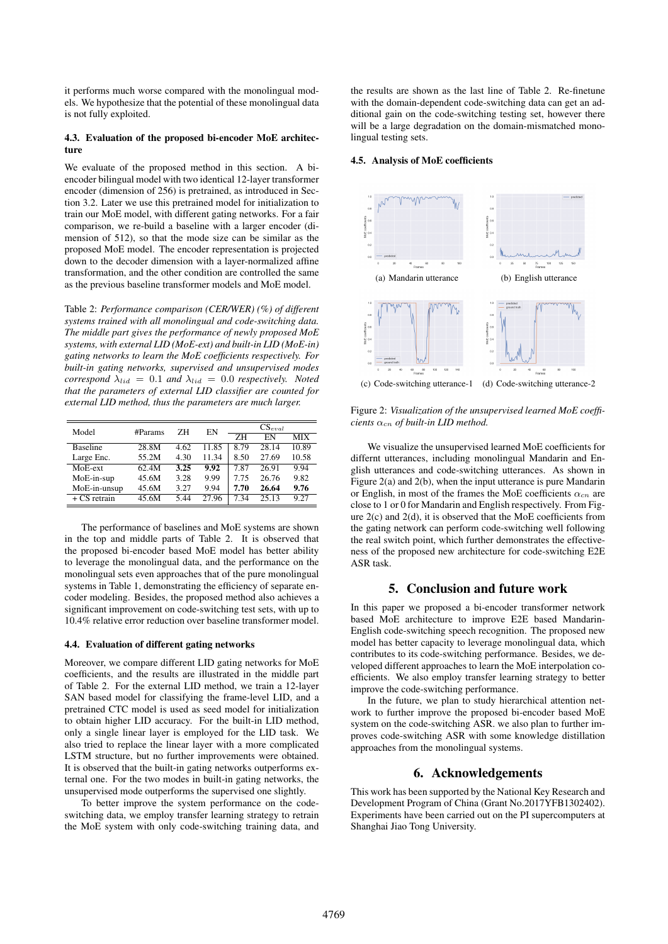it performs much worse compared with the monolingual models. We hypothesize that the potential of these monolingual data is not fully exploited.

#### 4.3. Evaluation of the proposed bi-encoder MoE architecture

We evaluate of the proposed method in this section. A biencoder bilingual model with two identical 12-layer transformer encoder (dimension of 256) is pretrained, as introduced in Section 3.2. Later we use this pretrained model for initialization to train our MoE model, with different gating networks. For a fair comparison, we re-build a baseline with a larger encoder (dimension of 512), so that the mode size can be similar as the proposed MoE model. The encoder representation is projected down to the decoder dimension with a layer-normalized affine transformation, and the other condition are controlled the same as the previous baseline transformer models and MoE model.

Table 2: *Performance comparison (CER/WER) (%) of different systems trained with all monolingual and code-switching data. The middle part gives the performance of newly proposed MoE systems, with external LID (MoE-ext) and built-in LID (MoE-in) gating networks to learn the MoE coefficients respectively. For built-in gating networks, supervised and unsupervised modes correspond*  $\lambda_{lid} = 0.1$  *and*  $\lambda_{lid} = 0.0$  *respectively. Noted that the parameters of external LID classifier are counted for external LID method, thus the parameters are much larger.*

| Model           | #Params | ZН   | ΕN    | $CS_{eval}$ |       |            |
|-----------------|---------|------|-------|-------------|-------|------------|
|                 |         |      |       | 7H          | EN    | <b>MIX</b> |
| <b>Baseline</b> | 28.8M   | 4.62 | 11.85 | 8.79        | 28.14 | 10.89      |
| Large Enc.      | 55.2M   | 4.30 | 11.34 | 8.50        | 27.69 | 10.58      |
| MoE-ext         | 62.4M   | 3.25 | 9.92  | 7.87        | 26.91 | 9.94       |
| MoE-in-sup      | 45.6M   | 3.28 | 9.99  | 7.75        | 26.76 | 9.82       |
| MoE-in-unsup    | 45.6M   | 3.27 | 9.94  | 7.70        | 26.64 | 9.76       |
| $+ CS$ retrain  | 45.6M   | 544  | 27.96 | 7.34        | 25.13 | 9.27       |

The performance of baselines and MoE systems are shown in the top and middle parts of Table 2. It is observed that the proposed bi-encoder based MoE model has better ability to leverage the monolingual data, and the performance on the monolingual sets even approaches that of the pure monolingual systems in Table 1, demonstrating the efficiency of separate encoder modeling. Besides, the proposed method also achieves a significant improvement on code-switching test sets, with up to 10.4% relative error reduction over baseline transformer model.

#### 4.4. Evaluation of different gating networks

Moreover, we compare different LID gating networks for MoE coefficients, and the results are illustrated in the middle part of Table 2. For the external LID method, we train a 12-layer SAN based model for classifying the frame-level LID, and a pretrained CTC model is used as seed model for initialization to obtain higher LID accuracy. For the built-in LID method, only a single linear layer is employed for the LID task. We also tried to replace the linear layer with a more complicated LSTM structure, but no further improvements were obtained. It is observed that the built-in gating networks outperforms external one. For the two modes in built-in gating networks, the unsupervised mode outperforms the supervised one slightly.

To better improve the system performance on the codeswitching data, we employ transfer learning strategy to retrain the MoE system with only code-switching training data, and the results are shown as the last line of Table 2. Re-finetune with the domain-dependent code-switching data can get an additional gain on the code-switching testing set, however there will be a large degradation on the domain-mismatched monolingual testing sets.

#### 4.5. Analysis of MoE coefficients



(c) Code-switching utterance-1 (d) Code-switching utterance-2

Figure 2: *Visualization of the unsupervised learned MoE coeffi* $cients \alpha_{cn}$  *of built-in LID method.* 

We visualize the unsupervised learned MoE coefficients for differnt utterances, including monolingual Mandarin and English utterances and code-switching utterances. As shown in Figure 2(a) and 2(b), when the input utterance is pure Mandarin or English, in most of the frames the MoE coefficients  $\alpha_{cn}$  are close to 1 or 0 for Mandarin and English respectively. From Figure 2(c) and 2(d), it is observed that the MoE coefficients from the gating network can perform code-switching well following the real switch point, which further demonstrates the effectiveness of the proposed new architecture for code-switching E2E ASR task.

## 5. Conclusion and future work

In this paper we proposed a bi-encoder transformer network based MoE architecture to improve E2E based Mandarin-English code-switching speech recognition. The proposed new model has better capacity to leverage monolingual data, which contributes to its code-switching performance. Besides, we developed different approaches to learn the MoE interpolation coefficients. We also employ transfer learning strategy to better improve the code-switching performance.

In the future, we plan to study hierarchical attention network to further improve the proposed bi-encoder based MoE system on the code-switching ASR. we also plan to further improves code-switching ASR with some knowledge distillation approaches from the monolingual systems.

## 6. Acknowledgements

This work has been supported by the National Key Research and Development Program of China (Grant No.2017YFB1302402). Experiments have been carried out on the PI supercomputers at Shanghai Jiao Tong University.